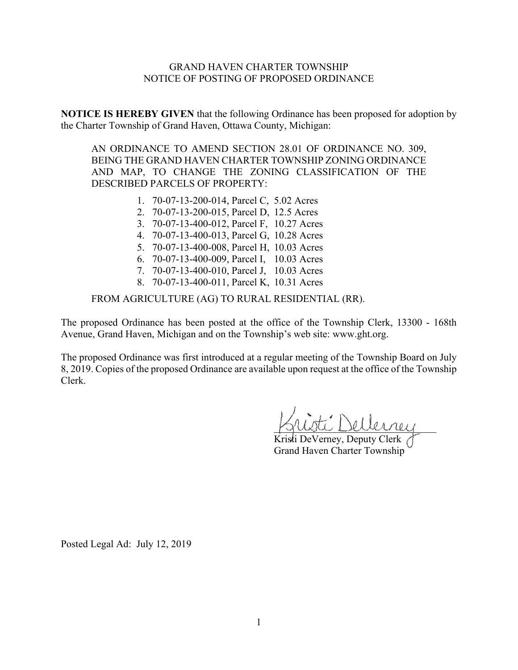# GRAND HAVEN CHARTER TOWNSHIP NOTICE OF POSTING OF PROPOSED ORDINANCE

**NOTICE IS HEREBY GIVEN** that the following Ordinance has been proposed for adoption by the Charter Township of Grand Haven, Ottawa County, Michigan:

AN ORDINANCE TO AMEND SECTION 28.01 OF ORDINANCE NO. 309, BEING THE GRAND HAVEN CHARTER TOWNSHIP ZONING ORDINANCE AND MAP, TO CHANGE THE ZONING CLASSIFICATION OF THE DESCRIBED PARCELS OF PROPERTY:

- 1. 70-07-13-200-014, Parcel C, 5.02 Acres
- 2. 70-07-13-200-015, Parcel D, 12.5 Acres
- 3. 70-07-13-400-012, Parcel F, 10.27 Acres
- 4. 70-07-13-400-013, Parcel G, 10.28 Acres
- 5. 70-07-13-400-008, Parcel H, 10.03 Acres
- 6. 70-07-13-400-009, Parcel I, 10.03 Acres
- 7. 70-07-13-400-010, Parcel J, 10.03 Acres
- 8. 70-07-13-400-011, Parcel K, 10.31 Acres

FROM AGRICULTURE (AG) TO RURAL RESIDENTIAL (RR).

The proposed Ordinance has been posted at the office of the Township Clerk, 13300 - 168th Avenue, Grand Haven, Michigan and on the Township's web site: www.ght.org.

The proposed Ordinance was first introduced at a regular meeting of the Township Board on July 8, 2019. Copies of the proposed Ordinance are available upon request at the office of the Township Clerk.

\_\_\_\_\_\_\_\_\_\_\_\_\_\_\_\_\_\_\_\_\_\_\_\_\_\_\_\_\_\_\_\_

Kristi DeVerney, Deputy Clerk Grand Haven Charter Township

Posted Legal Ad: July 12, 2019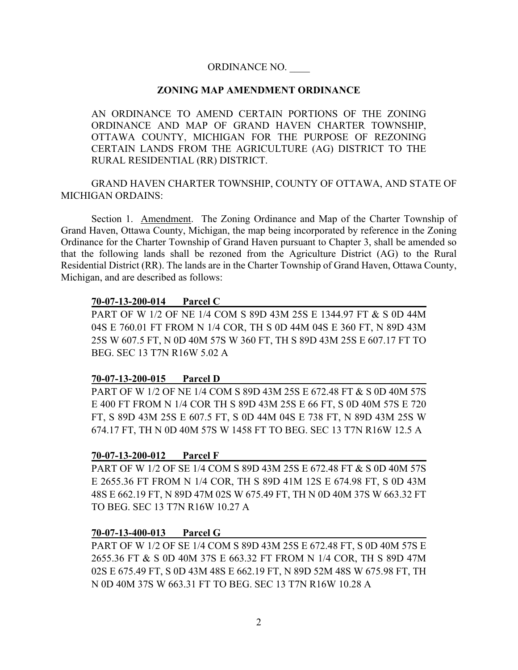# ORDINANCE NO. \_\_\_\_

### **ZONING MAP AMENDMENT ORDINANCE**

AN ORDINANCE TO AMEND CERTAIN PORTIONS OF THE ZONING ORDINANCE AND MAP OF GRAND HAVEN CHARTER TOWNSHIP, OTTAWA COUNTY, MICHIGAN FOR THE PURPOSE OF REZONING CERTAIN LANDS FROM THE AGRICULTURE (AG) DISTRICT TO THE RURAL RESIDENTIAL (RR) DISTRICT.

GRAND HAVEN CHARTER TOWNSHIP, COUNTY OF OTTAWA, AND STATE OF MICHIGAN ORDAINS:

Section 1. Amendment. The Zoning Ordinance and Map of the Charter Township of Grand Haven, Ottawa County, Michigan, the map being incorporated by reference in the Zoning Ordinance for the Charter Township of Grand Haven pursuant to Chapter 3, shall be amended so that the following lands shall be rezoned from the Agriculture District (AG) to the Rural Residential District (RR). The lands are in the Charter Township of Grand Haven, Ottawa County, Michigan, and are described as follows:

### **70-07-13-200-014 Parcel C**

PART OF W 1/2 OF NE 1/4 COM S 89D 43M 25S E 1344.97 FT & S 0D 44M 04S E 760.01 FT FROM N 1/4 COR, TH S 0D 44M 04S E 360 FT, N 89D 43M 25S W 607.5 FT, N 0D 40M 57S W 360 FT, TH S 89D 43M 25S E 607.17 FT TO BEG. SEC 13 T7N R16W 5.02 A

### **70-07-13-200-015 Parcel D**

PART OF W 1/2 OF NE 1/4 COM S 89D 43M 25S E 672.48 FT & S 0D 40M 57S E 400 FT FROM N 1/4 COR TH S 89D 43M 25S E 66 FT, S 0D 40M 57S E 720 FT, S 89D 43M 25S E 607.5 FT, S 0D 44M 04S E 738 FT, N 89D 43M 25S W 674.17 FT, TH N 0D 40M 57S W 1458 FT TO BEG. SEC 13 T7N R16W 12.5 A

#### **70-07-13-200-012 Parcel F**

PART OF W 1/2 OF SE 1/4 COM S 89D 43M 25S E 672.48 FT & S 0D 40M 57S E 2655.36 FT FROM N 1/4 COR, TH S 89D 41M 12S E 674.98 FT, S 0D 43M 48S E 662.19 FT, N 89D 47M 02S W 675.49 FT, TH N 0D 40M 37S W 663.32 FT TO BEG. SEC 13 T7N R16W 10.27 A

### **70-07-13-400-013 Parcel G**

PART OF W 1/2 OF SE 1/4 COM S 89D 43M 25S E 672.48 FT, S 0D 40M 57S E 2655.36 FT & S 0D 40M 37S E 663.32 FT FROM N 1/4 COR, TH S 89D 47M 02S E 675.49 FT, S 0D 43M 48S E 662.19 FT, N 89D 52M 48S W 675.98 FT, TH N 0D 40M 37S W 663.31 FT TO BEG. SEC 13 T7N R16W 10.28 A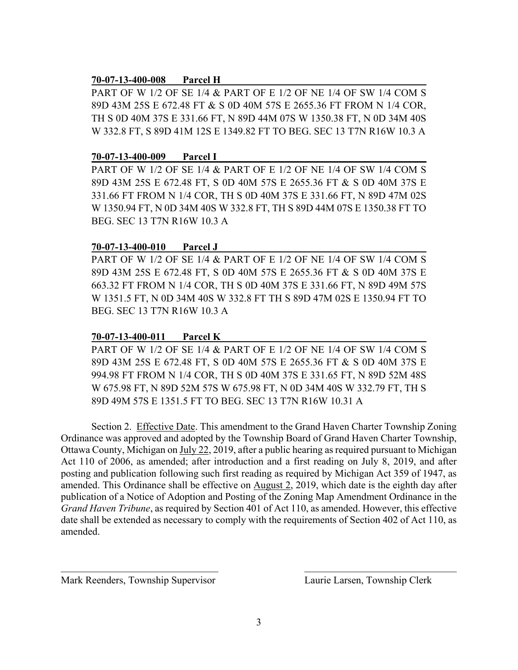### **70-07-13-400-008 Parcel H**

PART OF W 1/2 OF SE 1/4 & PART OF E 1/2 OF NE 1/4 OF SW 1/4 COM S 89D 43M 25S E 672.48 FT & S 0D 40M 57S E 2655.36 FT FROM N 1/4 COR, TH S 0D 40M 37S E 331.66 FT, N 89D 44M 07S W 1350.38 FT, N 0D 34M 40S W 332.8 FT, S 89D 41M 12S E 1349.82 FT TO BEG. SEC 13 T7N R16W 10.3 A

#### **70-07-13-400-009 Parcel I**

PART OF W 1/2 OF SE 1/4 & PART OF E 1/2 OF NE 1/4 OF SW 1/4 COM S 89D 43M 25S E 672.48 FT, S 0D 40M 57S E 2655.36 FT & S 0D 40M 37S E 331.66 FT FROM N 1/4 COR, TH S 0D 40M 37S E 331.66 FT, N 89D 47M 02S W 1350.94 FT, N 0D 34M 40S W 332.8 FT, TH S 89D 44M 07S E 1350.38 FT TO BEG. SEC 13 T7N R16W 10.3 A

### **70-07-13-400-010 Parcel J**

PART OF W 1/2 OF SE 1/4 & PART OF E 1/2 OF NE 1/4 OF SW 1/4 COM S 89D 43M 25S E 672.48 FT, S 0D 40M 57S E 2655.36 FT & S 0D 40M 37S E 663.32 FT FROM N 1/4 COR, TH S 0D 40M 37S E 331.66 FT, N 89D 49M 57S W 1351.5 FT, N 0D 34M 40S W 332.8 FT TH S 89D 47M 02S E 1350.94 FT TO BEG. SEC 13 T7N R16W 10.3 A

# **70-07-13-400-011 Parcel K**

PART OF W 1/2 OF SE 1/4 & PART OF E 1/2 OF NE 1/4 OF SW 1/4 COM S 89D 43M 25S E 672.48 FT, S 0D 40M 57S E 2655.36 FT & S 0D 40M 37S E 994.98 FT FROM N 1/4 COR, TH S 0D 40M 37S E 331.65 FT, N 89D 52M 48S W 675.98 FT, N 89D 52M 57S W 675.98 FT, N 0D 34M 40S W 332.79 FT, TH S 89D 49M 57S E 1351.5 FT TO BEG. SEC 13 T7N R16W 10.31 A

Section 2. Effective Date. This amendment to the Grand Haven Charter Township Zoning Ordinance was approved and adopted by the Township Board of Grand Haven Charter Township, Ottawa County, Michigan on July 22, 2019, after a public hearing as required pursuant to Michigan Act 110 of 2006, as amended; after introduction and a first reading on July 8, 2019, and after posting and publication following such first reading as required by Michigan Act 359 of 1947, as amended. This Ordinance shall be effective on August 2, 2019, which date is the eighth day after publication of a Notice of Adoption and Posting of the Zoning Map Amendment Ordinance in the *Grand Haven Tribune*, as required by Section 401 of Act 110, as amended. However, this effective date shall be extended as necessary to comply with the requirements of Section 402 of Act 110, as amended.

Mark Reenders, Township Supervisor Laurie Larsen, Township Clerk

 $\mathcal{L}_\text{max}$  , and the contribution of the contribution of the contribution of the contribution of the contribution of the contribution of the contribution of the contribution of the contribution of the contribution of t